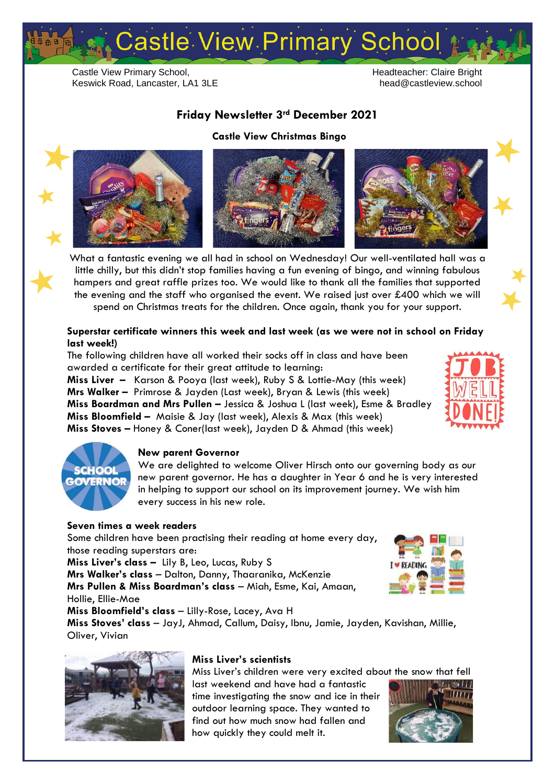# Castle View Primary School

Castle View Primary School, Keswick Road, Lancaster, LA1 3LE

#### Headteacher: Claire Bright head@castleview.school

# **Friday Newsletter 3rd December 2021**

#### **Castle View Christmas Bingo**







What a fantastic evening we all had in school on Wednesday! Our well-ventilated hall was a little chilly, but this didn't stop families having a fun evening of bingo, and winning fabulous hampers and great raffle prizes too. We would like to thank all the families that supported the evening and the staff who organised the event. We raised just over £400 which we will spend on Christmas treats for the children. Once again, thank you for your support.

## **Superstar certificate winners this week and last week (as we were not in school on Friday last week!)**

The following children have all worked their socks off in class and have been awarded a certificate for their great attitude to learning:

**Miss Liver –** Karson & Pooya (last week), Ruby S & Lottie-May (this week) **Mrs Walker –** Primrose & Jayden (Last week), Bryan & Lewis (this week) **Miss Boardman and Mrs Pullen –** Jessica & Joshua L (last week), Esme & Bradley **Miss Bloomfield –** Maisie & Jay (last week), Alexis & Max (this week) **Miss Stoves –** Honey & Coner(last week), Jayden D & Ahmad (this week)





### **New parent Governor**

We are delighted to welcome Oliver Hirsch onto our governing body as our new parent governor. He has a daughter in Year 6 and he is very interested in helping to support our school on its improvement journey. We wish him every success in his new role.

### **Seven times a week readers**

Some children have been practising their reading at home every day, those reading superstars are:

**Miss Liver's class –** Lily B, Leo, Lucas, Ruby S

**Mrs Walker's class** – Dalton, Danny, Thaaranika, McKenzie **Mrs Pullen & Miss Boardman's class** – Miah, Esme, Kai, Amaan,

Hollie, Ellie-Mae

**Miss Bloomfield's class** – Lilly-Rose, Lacey, Ava H

**Miss Stoves' class** – JayJ, Ahmad, Callum, Daisy, Ibnu, Jamie, Jayden, Kavishan, Millie, Oliver, Vivian



### **Miss Liver's scientists**

Miss Liver's children were very excited about the snow that fell

last weekend and have had a fantastic time investigating the snow and ice in their outdoor learning space. They wanted to find out how much snow had fallen and how quickly they could melt it.